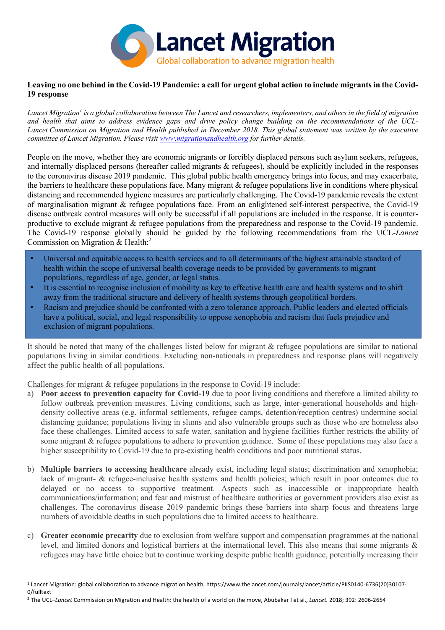

#### **Leaving no one behind in the Covid-19 Pandemic: a call for urgent global action to include migrants in the Covid-19 response**

*Lancet Migration1 is a global collaboration between The Lancet and researchers, implementers, and others in the field of migration and health that aims to address evidence gaps and drive policy change building on the recommendations of the UCL-Lancet Commission on Migration and Health published in December 2018. This global statement was written by the executive committee of Lancet Migration. Please visit www.migrationandhealth.org for further details.*

People on the move, whether they are economic migrants or forcibly displaced persons such asylum seekers, refugees, and internally displaced persons (hereafter called migrants & refugees), should be explicitly included in the responses to the coronavirus disease 2019 pandemic. This global public health emergency brings into focus, and may exacerbate, the barriers to healthcare these populations face. Many migrant & refugee populations live in conditions where physical distancing and recommended hygiene measures are particularly challenging. The Covid-19 pandemic reveals the extent of marginalisation migrant & refugee populations face. From an enlightened self-interest perspective, the Covid-19 disease outbreak control measures will only be successful if all populations are included in the response. It is counterproductive to exclude migrant & refugee populations from the preparedness and response to the Covid-19 pandemic. The Covid-19 response globally should be guided by the following recommendations from the UCL-*Lancet*  Commission on Migration & Health:2

- Universal and equitable access to health services and to all determinants of the highest attainable standard of health within the scope of universal health coverage needs to be provided by governments to migrant populations, regardless of age, gender, or legal status.
- It is essential to recognise inclusion of mobility as key to effective health care and health systems and to shift away from the traditional structure and delivery of health systems through geopolitical borders.
- Racism and prejudice should be confronted with a zero tolerance approach. Public leaders and elected officials have a political, social, and legal responsibility to oppose xenophobia and racism that fuels prejudice and exclusion of migrant populations.

It should be noted that many of the challenges listed below for migrant & refugee populations are similar to national populations living in similar conditions. Excluding non-nationals in preparedness and response plans will negatively affect the public health of all populations.

Challenges for migrant & refugee populations in the response to Covid-19 include:

- a) **Poor access to prevention capacity for Covid-19** due to poor living conditions and therefore a limited ability to follow outbreak prevention measures. Living conditions, such as large, inter-generational households and highdensity collective areas (e.g. informal settlements, refugee camps, detention/reception centres) undermine social distancing guidance; populations living in slums and also vulnerable groups such as those who are homeless also face these challenges. Limited access to safe water, sanitation and hygiene facilities further restricts the ability of some migrant & refugee populations to adhere to prevention guidance. Some of these populations may also face a higher susceptibility to Covid-19 due to pre-existing health conditions and poor nutritional status.
- b) **Multiple barriers to accessing healthcare** already exist, including legal status; discrimination and xenophobia; lack of migrant- & refugee-inclusive health systems and health policies; which result in poor outcomes due to delayed or no access to supportive treatment. Aspects such as inaccessible or inappropriate health communications/information; and fear and mistrust of healthcare authorities or government providers also exist as challenges. The coronavirus disease 2019 pandemic brings these barriers into sharp focus and threatens large numbers of avoidable deaths in such populations due to limited access to healthcare.
- c) **Greater economic precarity** due to exclusion from welfare support and compensation programmes at the national level, and limited donors and logistical barriers at the international level. This also means that some migrants & refugees may have little choice but to continue working despite public health guidance, potentially increasing their

<sup>1</sup> Lancet Migration: global collaboration to advance migration health, https://www.thelancet.com/journals/lancet/article/PIIS0140-6736(20)30107- 0/fulltext

<sup>2</sup> The UCL–*Lancet* Commission on Migration and Health: the health of a world on the move, Abubakar I et al., *Lancet.* 2018; 392: 2606-2654